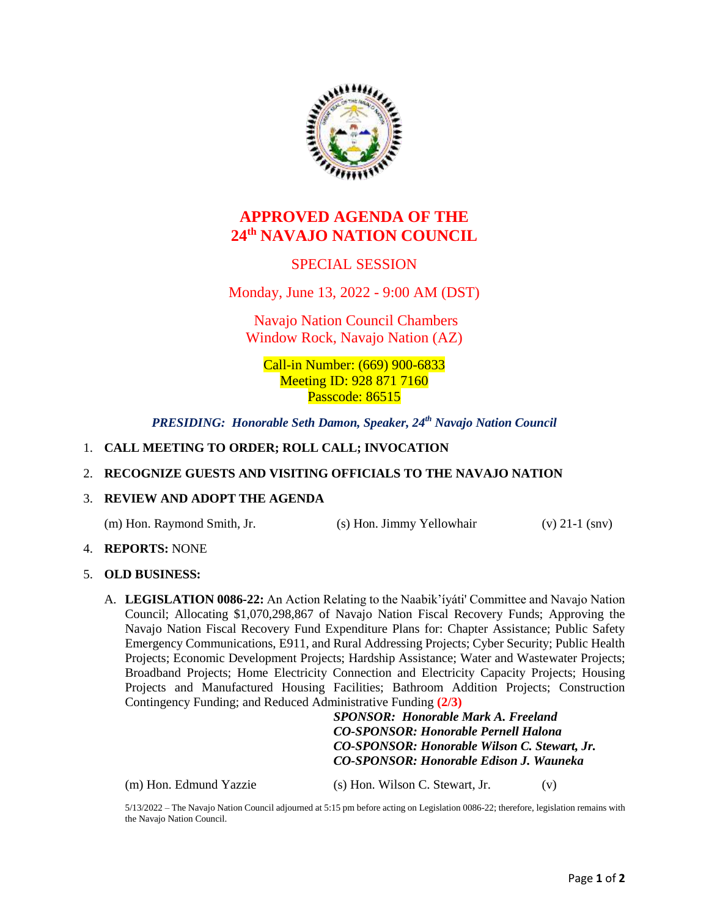

# **APPROVED AGENDA OF THE 24th NAVAJO NATION COUNCIL**

## SPECIAL SESSION

Monday, June 13, 2022 - 9:00 AM (DST)

Navajo Nation Council Chambers Window Rock, Navajo Nation (AZ)

Call-in Number: (669) 900-6833 Meeting **ID**: 928 871 7160 Passcode: 86515

*PRESIDING: Honorable Seth Damon, Speaker, 24th Navajo Nation Council*

## 1. **CALL MEETING TO ORDER; ROLL CALL; INVOCATION**

### 2. **RECOGNIZE GUESTS AND VISITING OFFICIALS TO THE NAVAJO NATION**

### 3. **REVIEW AND ADOPT THE AGENDA**

(m) Hon. Raymond Smith, Jr. (s) Hon. Jimmy Yellowhair (v) 21-1 (snv)

4. **REPORTS:** NONE

## 5. **OLD BUSINESS:**

A. **LEGISLATION 0086-22:** An Action Relating to the Naabik'íyáti' Committee and Navajo Nation Council; Allocating \$1,070,298,867 of Navajo Nation Fiscal Recovery Funds; Approving the Navajo Nation Fiscal Recovery Fund Expenditure Plans for: Chapter Assistance; Public Safety Emergency Communications, E911, and Rural Addressing Projects; Cyber Security; Public Health Projects; Economic Development Projects; Hardship Assistance; Water and Wastewater Projects; Broadband Projects; Home Electricity Connection and Electricity Capacity Projects; Housing Projects and Manufactured Housing Facilities; Bathroom Addition Projects; Construction Contingency Funding; and Reduced Administrative Funding **(2/3)**

> *SPONSOR: Honorable Mark A. Freeland CO-SPONSOR: Honorable Pernell Halona CO-SPONSOR: Honorable Wilson C. Stewart, Jr. CO-SPONSOR: Honorable Edison J. Wauneka*

(m) Hon. Edmund Yazzie (s) Hon. Wilson C. Stewart, Jr. (v)

5/13/2022 – The Navajo Nation Council adjourned at 5:15 pm before acting on Legislation 0086-22; therefore, legislation remains with the Navajo Nation Council.